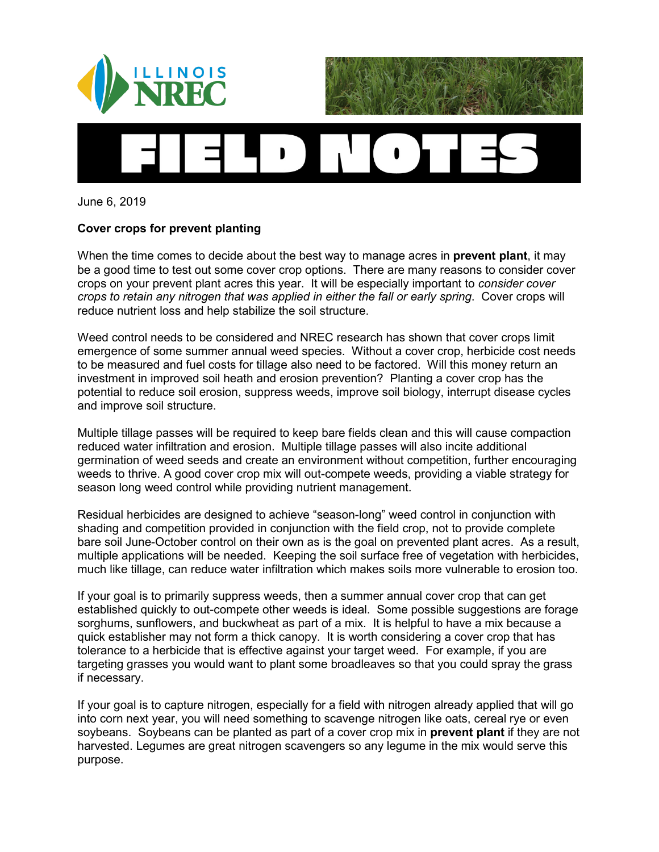

June 6, 2019

## **Cover crops for prevent planting**

When the time comes to decide about the best way to manage acres in **prevent plant**, it may be a good time to test out some cover crop options. There are many reasons to consider cover crops on your prevent plant acres this year. It will be especially important to *consider cover crops to retain any nitrogen that was applied in either the fall or early spring*. Cover crops will reduce nutrient loss and help stabilize the soil structure.

Weed control needs to be considered and NREC research has shown that cover crops limit emergence of some summer annual weed species. Without a cover crop, herbicide cost needs to be measured and fuel costs for tillage also need to be factored. Will this money return an investment in improved soil heath and erosion prevention? Planting a cover crop has the potential to reduce soil erosion, suppress weeds, improve soil biology, interrupt disease cycles and improve soil structure.

Multiple tillage passes will be required to keep bare fields clean and this will cause compaction reduced water infiltration and erosion. Multiple tillage passes will also incite additional germination of weed seeds and create an environment without competition, further encouraging weeds to thrive. A good cover crop mix will out-compete weeds, providing a viable strategy for season long weed control while providing nutrient management.

Residual herbicides are designed to achieve "season-long" weed control in conjunction with shading and competition provided in conjunction with the field crop, not to provide complete bare soil June-October control on their own as is the goal on prevented plant acres. As a result, multiple applications will be needed. Keeping the soil surface free of vegetation with herbicides, much like tillage, can reduce water infiltration which makes soils more vulnerable to erosion too.

If your goal is to primarily suppress weeds, then a summer annual cover crop that can get established quickly to out-compete other weeds is ideal. Some possible suggestions are forage sorghums, sunflowers, and buckwheat as part of a mix. It is helpful to have a mix because a quick establisher may not form a thick canopy. It is worth considering a cover crop that has tolerance to a herbicide that is effective against your target weed. For example, if you are targeting grasses you would want to plant some broadleaves so that you could spray the grass if necessary.

If your goal is to capture nitrogen, especially for a field with nitrogen already applied that will go into corn next year, you will need something to scavenge nitrogen like oats, cereal rye or even soybeans. Soybeans can be planted as part of a cover crop mix in **prevent plant** if they are not harvested. Legumes are great nitrogen scavengers so any legume in the mix would serve this purpose.